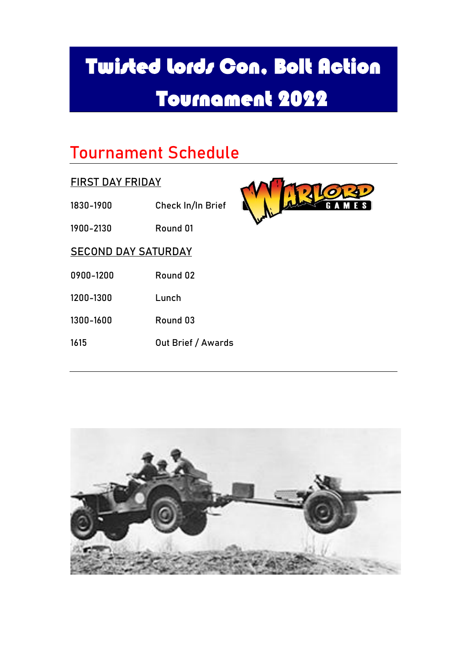### Tournament Schedule

### FIRST DAY FRIDAY

- 1830-1900 Check In/In Brief
- 1900-2130 Round 01



#### SECOND DAY SATURDAY

- 0900-1200 Round 02
- 1200-1300 Lunch
- 1300-1600 Round 03
- 1615 Out Brief / Awards

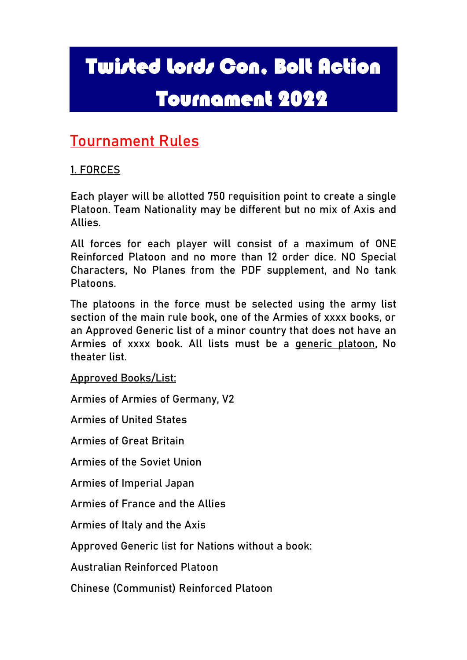### Tournament Rules

### 1. FORCES

Each player will be allotted 750 requisition point to create a single Platoon. Team Nationality may be different but no mix of Axis and Allies.

All forces for each player will consist of a maximum of ONE Reinforced Platoon and no more than 12 order dice. NO Special Characters, No Planes from the PDF supplement, and No tank Platoons.

The platoons in the force must be selected using the army list section of the main rule book, one of the Armies of xxxx books, or an Approved Generic list of a minor country that does not have an Armies of xxxx book. All lists must be a generic platoon, No theater list.

Approved Books/List:

Armies of Armies of Germany, V2

Armies of United States

Armies of Great Britain

Armies of the Soviet Union

Armies of Imperial Japan

Armies of France and the Allies

Armies of Italy and the Axis

Approved Generic list for Nations without a book:

Australian Reinforced Platoon

[Chinese \(Communist\) Reinforced Platoon](javascript:__doPostBack()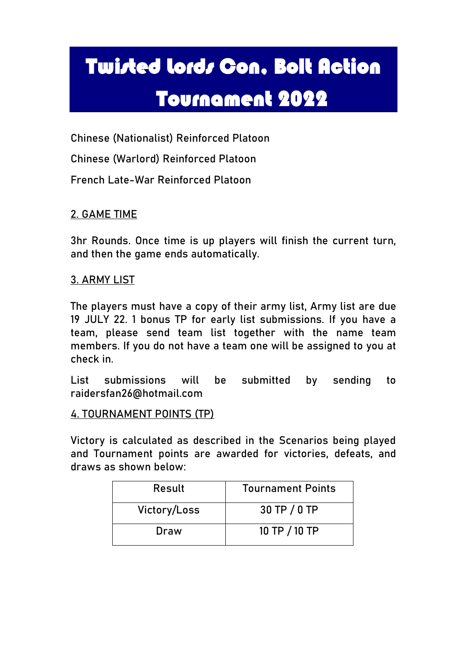[Chinese \(Nationalist\) Reinforced Platoon](javascript:__doPostBack()

[Chinese \(Warlord\) Reinforced Platoon](javascript:__doPostBack()

[French Late-War Reinforced Platoon](javascript:__doPostBack()

### 2. GAME TIME

3hr Rounds. Once time is up players will finish the current turn, and then the game ends automatically.

#### 3. ARMY LIST

The players must have a copy of their army list, Army list are due 19 JULY 22. 1 bonus TP for early list submissions. If you have a team, please send team list together with the name team members. If you do not have a team one will be assigned to you at check in.

List submissions will be submitted by sending to raidersfan26@hotmail.com

#### 4. TOURNAMENT POINTS (TP)

Victory is calculated as described in the Scenarios being played and Tournament points are awarded for victories, defeats, and draws as shown below:

| Result       | <b>Tournament Points</b> |
|--------------|--------------------------|
| Victory/Loss | 30 TP / 0 TP             |
| Draw         | 10 TP / 10 TP            |